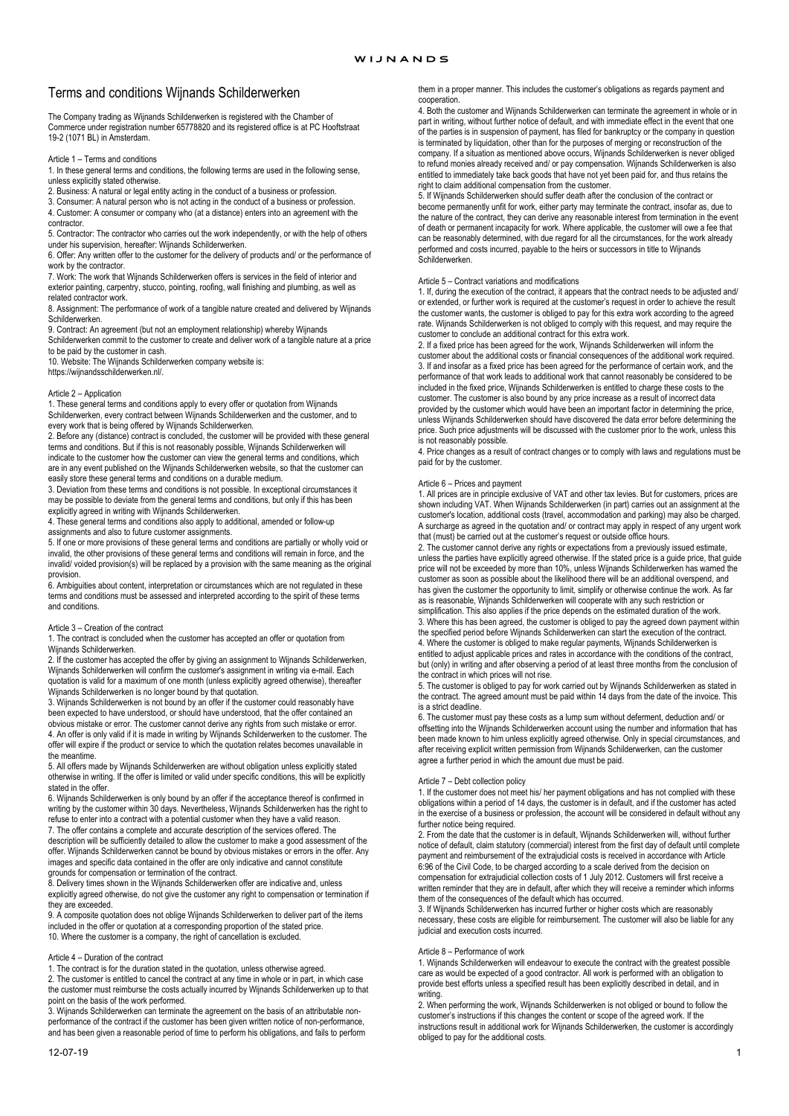# Terms and conditions Wijnands Schilderwerken

The Company trading as Wijnands Schilderwerken is registered with the Chamber of Commerce under registration number 65778820 and its registered office is at PC Hooftstraat 19-2 (1071 BL) in Amsterdam.

#### Article 1 – Terms and conditions

1. In these general terms and conditions, the following terms are used in the following sense, unless explicitly stated otherwise.

2. Business: A natural or legal entity acting in the conduct of a business or profession. 3. Consumer: A natural person who is not acting in the conduct of a business or profession.

4. Customer: A consumer or company who (at a distance) enters into an agreement with the contractor.

5. Contractor: The contractor who carries out the work independently, or with the help of others under his supervision, hereafter: Wijnands Schilderwerken.

6. Offer: Any written offer to the customer for the delivery of products and/ or the performance of work by the contractor.

7. Work: The work that Wijnands Schilderwerken offers is services in the field of interior and exterior painting, carpentry, stucco, pointing, roofing, wall finishing and plumbing, as well as related contractor work.

8. Assignment: The performance of work of a tangible nature created and delivered by Wijnands Schilderwerken.

9. Contract: An agreement (but not an employment relationship) whereby Wijnands

Schilderwerken commit to the customer to create and deliver work of a tangible nature at a price to be paid by the customer in cash. 10. Website: The Wijnands Schilderwerken company website is:

https://wijnandsschilderwerken.nl/.

# Article 2 – Application

1. These general terms and conditions apply to every offer or quotation from Wijnands Schilderwerken, every contract between Wijnands Schilderwerken and the customer, and to every work that is being offered by Wijnands Schilderwerken.

2. Before any (distance) contract is concluded, the customer will be provided with these general terms and conditions. But if this is not reasonably possible, Wijnands Schilderwerken will indicate to the customer how the customer can view the general terms and conditions, which are in any event published on the Wijnands Schilderwerken website, so that the customer can easily store these general terms and conditions on a durable medium.

3. Deviation from these terms and conditions is not possible. In exceptional circumstances it may be possible to deviate from the general terms and conditions, but only if this has been explicitly agreed in writing with Wijnands Schilderwerken.

4. These general terms and conditions also apply to additional, amended or follow-up assignments and also to future customer assignments.

5. If one or more provisions of these general terms and conditions are partially or wholly void or invalid, the other provisions of these general terms and conditions will remain in force, and the invalid/ voided provision(s) will be replaced by a provision with the same meaning as the original

provision. 6. Ambiguities about content, interpretation or circumstances which are not regulated in these terms and conditions must be assessed and interpreted according to the spirit of these terms and conditions.

#### Article 3 – Creation of the contract

1. The contract is concluded when the customer has accepted an offer or quotation from Wijnands Schilderwerken.

2. If the customer has accepted the offer by giving an assignment to Wijnands Schilderwerken, Wijnands Schilderwerken will confirm the customer's assignment in writing via e-mail. Each quotation is valid for a maximum of one month (unless explicitly agreed otherwise), thereafter Wijnands Schilderwerken is no longer bound by that quotation.

3. Wijnands Schilderwerken is not bound by an offer if the customer could reasonably have been expected to have understood, or should have understood, that the offer contained an obvious mistake or error. The customer cannot derive any rights from such mistake or error. 4. An offer is only valid if it is made in writing by Wijnands Schilderwerken to the customer. The offer will expire if the product or service to which the quotation relates becomes unavailable in the meantime.

5. All offers made by Wijnands Schilderwerken are without obligation unless explicitly stated otherwise in writing. If the offer is limited or valid under specific conditions, this will be explicitly stated in the offer.

6. Wijnands Schilderwerken is only bound by an offer if the acceptance thereof is confirmed in writing by the customer within 30 days. Nevertheless, Wijnands Schilderwerken has the right to refuse to enter into a contract with a potential customer when they have a valid reason.

7. The offer contains a complete and accurate description of the services offered. The

description will be sufficiently detailed to allow the customer to make a good assessment of the offer. Wijnands Schilderwerken cannot be bound by obvious mistakes or errors in the offer. Any images and specific data contained in the offer are only indicative and cannot constitute

grounds for compensation or termination of the contract. 8. Delivery times shown in the Wijnands Schilderwerken offer are indicative and, unless explicitly agreed otherwise, do not give the customer any right to compensation or termination if they are exceeded.

9. A composite quotation does not oblige Wijnands Schilderwerken to deliver part of the items included in the offer or quotation at a corresponding proportion of the stated price. 10. Where the customer is a company, the right of cancellation is excluded.

#### Article 4 – Duration of the contract

1. The contract is for the duration stated in the quotation, unless otherwise agreed.

2. The customer is entitled to cancel the contract at any time in whole or in part, in which case the customer must reimburse the costs actually incurred by Wijnands Schilderwerken up to that point on the basis of the work performed.

3. Wijnands Schilderwerken can terminate the agreement on the basis of an attributable nonperformance of the contract if the customer has been given written notice of non-performance, and has been given a reasonable period of time to perform his obligations, and fails to perform

12-07-19 1

them in a proper manner. This includes the customer's obligations as regards payment and cooperation.

4. Both the customer and Wijnands Schilderwerken can terminate the agreement in whole or in part in writing, without further notice of default, and with immediate effect in the event that one of the parties is in suspension of payment, has filed for bankruptcy or the company in question is terminated by liquidation, other than for the purposes of merging or reconstruction of the company. If a situation as mentioned above occurs, Wijnands Schilderwerken is never obliged to refund monies already received and/ or pay compensation. Wijnands Schilderwerken is also entitled to immediately take back goods that have not yet been paid for, and thus retains the right to claim additional compensation from the customer.

5. If Wijnands Schilderwerken should suffer death after the conclusion of the contract or become permanently unfit for work, either party may terminate the contract, insofar as, due to the nature of the contract, they can derive any reasonable interest from termination in the event of death or permanent incapacity for work. Where applicable, the customer will owe a fee that can be reasonably determined, with due regard for all the circumstances, for the work already performed and costs incurred, payable to the heirs or successors in title to Wijnands Schilderwerken.

### Article 5 – Contract variations and modifications

1. If, during the execution of the contract, it appears that the contract needs to be adjusted and/ or extended, or further work is required at the customer's request in order to achieve the result the customer wants, the customer is obliged to pay for this extra work according to the agreed rate. Wijnands Schilderwerken is not obliged to comply with this request, and may require the customer to conclude an additional contract for this extra work.

2. If a fixed price has been agreed for the work, Wijnands Schilderwerken will inform the customer about the additional costs or financial consequences of the additional work required. 3. If and insofar as a fixed price has been agreed for the performance of certain work, and the performance of that work leads to additional work that cannot reasonably be considered to be included in the fixed price, Wijnands Schilderwerken is entitled to charge these costs to the customer. The customer is also bound by any price increase as a result of incorrect data provided by the customer which would have been an important factor in determining the price, unless Wijnands Schilderwerken should have discovered the data error before determining the price. Such price adjustments will be discussed with the customer prior to the work, unless this is not reasonably possible.

4. Price changes as a result of contract changes or to comply with laws and regulations must be paid for by the customer.

# Article 6 – Prices and payment

1. All prices are in principle exclusive of VAT and other tax levies. But for customers, prices are shown including VAT. When Wijnands Schilderwerken (in part) carries out an assignment at the customer's location, additional costs (travel, accommodation and parking) may also be charged. A surcharge as agreed in the quotation and/ or contract may apply in respect of any urgent work that (must) be carried out at the customer's request or outside office hours.

2. The customer cannot derive any rights or expectations from a previously issued estimate, unless the parties have explicitly agreed otherwise. If the stated price is a guide price, that guide price will not be exceeded by more than 10%, unless Wijnands Schilderwerken has warned the customer as soon as possible about the likelihood there will be an additional overspend, and has given the customer the opportunity to limit, simplify or otherwise continue the work. As far as is reasonable, Wijnands Schilderwerken will cooperate with any such restriction or simplification. This also applies if the price depends on the estimated duration of the work.

3. Where this has been agreed, the customer is obliged to pay the agreed down payment within the specified period before Wijnands Schilderwerken can start the execution of the contract. 4. Where the customer is obliged to make regular payments, Wijnands Schilderwerken is

entitled to adjust applicable prices and rates in accordance with the conditions of the contract, but (only) in writing and after observing a period of at least three months from the conclusion of the contract in which prices will not rise.

5. The customer is obliged to pay for work carried out by Wijnands Schilderwerken as stated in the contract. The agreed amount must be paid within 14 days from the date of the invoice. This is a strict deadline.

6. The customer must pay these costs as a lump sum without deferment, deduction and/ or offsetting into the Wijnands Schilderwerken account using the number and information that has been made known to him unless explicitly agreed otherwise. Only in special circumstances, and after receiving explicit written permission from Wijnands Schilderwerken, can the customer and recenting explicit mixed permission herm rights occur agree a further period in which the amount due must be paid.

Article 7 – Debt collection policy 1. If the customer does not meet his/ her payment obligations and has not complied with these obligations within a period of 14 days, the customer is in default, and if the customer has acted in the exercise of a business or profession, the account will be considered in default without any further notice being required.

2. From the date that the customer is in default, Wijnands Schilderwerken will, without further notice of default, claim statutory (commercial) interest from the first day of default until complete payment and reimbursement of the extrajudicial costs is received in accordance with Article 6:96 of the Civil Code, to be charged according to a scale derived from the decision on compensation for extrajudicial collection costs of 1 July 2012. Customers will first receive a written reminder that they are in default, after which they will receive a reminder which informs them of the consequences of the default which has occurred.

3. If Wijnands Schilderwerken has incurred further or higher costs which are reasonably necessary, these costs are eligible for reimbursement. The customer will also be liable for any judicial and execution costs incurred.

# Article 8 – Performance of work

1. Wijnands Schilderwerken will endeavour to execute the contract with the greatest possible care as would be expected of a good contractor. All work is performed with an obligation to provide best efforts unless a specified result has been explicitly described in detail, and in writing.

2. When performing the work, Wijnands Schilderwerken is not obliged or bound to follow the customer's instructions if this changes the content or scope of the agreed work. If the instructions result in additional work for Wijnands Schilderwerken, the customer is accordingly obliged to pay for the additional costs.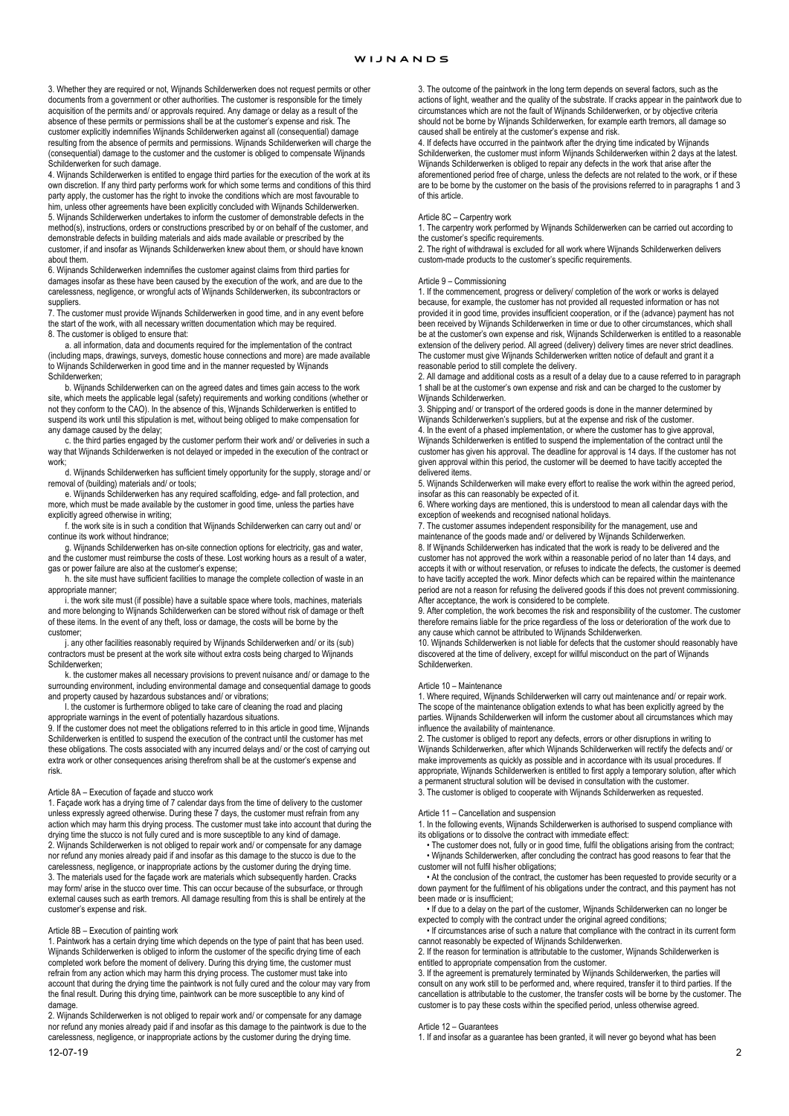3. Whether they are required or not, Wijnands Schilderwerken does not request permits or other documents from a government or other authorities. The customer is responsible for the timely acquisition of the permits and/ or approvals required. Any damage or delay as a result of the absence of these permits or permissions shall be at the customer's expense and risk. The customer explicitly indemnifies Wijnands Schilderwerken against all (consequential) damage resulting from the absence of permits and permissions. Wijnands Schilderwerken will charge the (consequential) damage to the customer and the customer is obliged to compensate Wijnands Schilderwerken for such damage.

4. Wijnands Schilderwerken is entitled to engage third parties for the execution of the work at its own discretion. If any third party performs work for which some terms and conditions of this third party apply, the customer has the right to invoke the conditions which are most favourable to

him, unless other agreements have been explicitly concluded with Wijnands Schilderwerken. 5. Wijnands Schilderwerken undertakes to inform the customer of demonstrable defects in the method(s), instructions, orders or constructions prescribed by or on behalf of the customer, and demonstrable defects in building materials and aids made available or prescribed by the customer, if and insofar as Wijnands Schilderwerken knew about them, or should have known about them

6. Wijnands Schilderwerken indemnifies the customer against claims from third parties for damages insofar as these have been caused by the execution of the work, and are due to the carelessness, negligence, or wrongful acts of Wijnands Schilderwerken, its subcontractors or

suppliers. 7. The customer must provide Wijnands Schilderwerken in good time, and in any event before the start of the work, with all necessary written documentation which may be required. 8. The customer is obliged to ensure that:

 a. all information, data and documents required for the implementation of the contract (including maps, drawings, surveys, domestic house connections and more) are made available to Wijnands Schilderwerken in good time and in the manner requested by Wijnands

Schilderwerken; b. Wijnands Schilderwerken can on the agreed dates and times gain access to the work site, which meets the applicable legal (safety) requirements and working conditions (whether or not they conform to the CAO). In the absence of this, Wijnands Schilderwerken is entitled to suspend its work until this stipulation is met, without being obliged to make compensation for any damage caused by the delay;

 c. the third parties engaged by the customer perform their work and/ or deliveries in such a way that Wijnands Schilderwerken is not delayed or impeded in the execution of the contract or work:

 d. Wijnands Schilderwerken has sufficient timely opportunity for the supply, storage and/ or removal of (building) materials and/ or tools;

 e. Wijnands Schilderwerken has any required scaffolding, edge- and fall protection, and more, which must be made available by the customer in good time, unless the parties have explicitly agreed otherwise in writing;

 f. the work site is in such a condition that Wijnands Schilderwerken can carry out and/ or continue its work without hindrance;

 g. Wijnands Schilderwerken has on-site connection options for electricity, gas and water, and the customer must reimburse the costs of these. Lost working hours as a result of a water, gas or power failure are also at the customer's expense;

 h. the site must have sufficient facilities to manage the complete collection of waste in an appropriate manner;

 i. the work site must (if possible) have a suitable space where tools, machines, materials and more belonging to Wijnands Schilderwerken can be stored without risk of damage or theft of these items. In the event of any theft, loss or damage, the costs will be borne by the customer;

 j. any other facilities reasonably required by Wijnands Schilderwerken and/ or its (sub) contractors must be present at the work site without extra costs being charged to Wijnands Schilderwerken;

 k. the customer makes all necessary provisions to prevent nuisance and/ or damage to the surrounding environment, including environmental damage and consequential damage to goods and property caused by hazardous substances and/ or vibrations;

 l. the customer is furthermore obliged to take care of cleaning the road and placing appropriate warnings in the event of potentially hazardous situations.

9. If the customer does not meet the obligations referred to in this article in good time, Wijnands Schilderwerken is entitled to suspend the execution of the contract until the customer has met these obligations. The costs associated with any incurred delays and/ or the cost of carrying out extra work or other consequences arising therefrom shall be at the customer's expense and risk.

# Article 8A – Execution of façade and stucco work

1. Façade work has a drying time of 7 calendar days from the time of delivery to the customer unless expressly agreed otherwise. During these 7 days, the customer must refrain from any action which may harm this drying process. The customer must take into account that during the drying time the stucco is not fully cured and is more susceptible to any kind of damage. 2. Wijnands Schilderwerken is not obliged to repair work and/ or compensate for any damage nor refund any monies already paid if and insofar as this damage to the stucco is due to the carelessness, negligence, or inappropriate actions by the customer during the drying time. 3. The materials used for the façade work are materials which subsequently harden. Cracks may form/ arise in the stucco over time. This can occur because of the subsurface, or through external causes such as earth tremors. All damage resulting from this is shall be entirely at the customer's expense and risk.

#### Article 8B – Execution of painting work

1. Paintwork has a certain drying time which depends on the type of paint that has been used. Wijnands Schilderwerken is obliged to inform the customer of the specific drying time of each completed work before the moment of delivery. During this drying time, the customer must refrain from any action which may harm this drying process. The customer must take into account that during the drying time the paintwork is not fully cured and the colour may vary from the final result. During this drying time, paintwork can be more susceptible to any kind of damage.

2. Wijnands Schilderwerken is not obliged to repair work and/ or compensate for any damage nor refund any monies already paid if and insofar as this damage to the paintwork is due to the carelessness, negligence, or inappropriate actions by the customer during the drying time.

3. The outcome of the paintwork in the long term depends on several factors, such as the actions of light, weather and the quality of the substrate. If cracks appear in the paintwork due to circumstances which are not the fault of Wijnands Schilderwerken, or by objective criteria should not be borne by Wijnands Schilderwerken, for example earth tremors, all damage so caused shall be entirely at the customer's expense and risk.

4. If defects have occurred in the paintwork after the drying time indicated by Wijnands Schilderwerken, the customer must inform Wijnands Schilderwerken within 2 days at the latest. Wijnands Schilderwerken is obliged to repair any defects in the work that arise after the aforementioned period free of charge, unless the defects are not related to the work, or if these are to be borne by the customer on the basis of the provisions referred to in paragraphs 1 and 3 of this article.

#### Article 8C – Carpentry work

1. The carpentry work performed by Wijnands Schilderwerken can be carried out according to the customer's specific requirements.

2. The right of withdrawal is excluded for all work where Wijnands Schilderwerken delivers custom-made products to the customer's specific requirements.

# Article 9 – Commissioning

1. If the commencement, progress or delivery/ completion of the work or works is delayed because, for example, the customer has not provided all requested information or has not provided it in good time, provides insufficient cooperation, or if the (advance) payment has not been received by Wijnands Schilderwerken in time or due to other circumstances, which shall be at the customer's own expense and risk, Wijnands Schilderwerken is entitled to a reasonable extension of the delivery period. All agreed (delivery) delivery times are never strict deadlines. The customer must give Wijnands Schilderwerken written notice of default and grant it a

reasonable period to still complete the delivery. 2. All damage and additional costs as a result of a delay due to a cause referred to in paragraph 1 shall be at the customer's own expense and risk and can be charged to the customer by Wijnands Schilderwerken.

3. Shipping and/ or transport of the ordered goods is done in the manner determined by Wijnands Schilderwerken's suppliers, but at the expense and risk of the customer.

4. In the event of a phased implementation, or where the customer has to give approval, Wijnands Schilderwerken is entitled to suspend the implementation of the contract until the customer has given his approval. The deadline for approval is 14 days. If the customer has not given approval within this period, the customer will be deemed to have tacitly accepted the delivered items.

5. Wijnands Schilderwerken will make every effort to realise the work within the agreed period, insofar as this can reasonably be expected of it.

6. Where working days are mentioned, this is understood to mean all calendar days with the exception of weekends and recognised national holidays.

7. The customer assumes independent responsibility for the management, use and maintenance of the goods made and/ or delivered by Wijnands Schilderwerken.

8. If Wijnands Schilderwerken has indicated that the work is ready to be delivered and the customer has not approved the work within a reasonable period of no later than 14 days, and accepts it with or without reservation, or refuses to indicate the defects, the customer is deemed to have tacitly accepted the work. Minor defects which can be repaired within the maintenance period are not a reason for refusing the delivered goods if this does not prevent commissioning. After acceptance, the work is considered to be complete.

9. After completion, the work becomes the risk and responsibility of the customer. The customer therefore remains liable for the price regardless of the loss or deterioration of the work due to any cause which cannot be attributed to Wijnands Schilderwerken.

10. Wijnands Schilderwerken is not liable for defects that the customer should reasonably have discovered at the time of delivery, except for willful misconduct on the part of Wijnands Schilderwerken.

#### Article 10 – Maintenance

1. Where required, Wijnands Schilderwerken will carry out maintenance and/ or repair work. The scope of the maintenance obligation extends to what has been explicitly agreed by the parties. Wijnands Schilderwerken will inform the customer about all circumstances which may influence the availability of maintenance.

2. The customer is obliged to report any defects, errors or other disruptions in writing to Wijnands Schilderwerken, after which Wijnands Schilderwerken will rectify the defects and/ or make improvements as quickly as possible and in accordance with its usual procedures. If appropriate, Wijnands Schilderwerken is entitled to first apply a temporary solution, after which a permanent structural solution will be devised in consultation with the customer. 3. The customer is obliged to cooperate with Wijnands Schilderwerken as requested.

### Article 11 – Cancellation and suspension

1. In the following events, Wijnands Schilderwerken is authorised to suspend compliance with its obligations or to dissolve the contract with immediate effect:

 • The customer does not, fully or in good time, fulfil the obligations arising from the contract; • Wijnands Schilderwerken, after concluding the contract has good reasons to fear that the customer will not fulfil his/her obligations;

 • At the conclusion of the contract, the customer has been requested to provide security or a down payment for the fulfilment of his obligations under the contract, and this payment has not been made or is insufficient;

 • If due to a delay on the part of the customer, Wijnands Schilderwerken can no longer be expected to comply with the contract under the original agreed conditions;

 • If circumstances arise of such a nature that compliance with the contract in its current form cannot reasonably be expected of Wijnands Schilderwerken.

2. If the reason for termination is attributable to the customer, Wijnands Schilderwerken is entitled to appropriate compensation from the customer. 3. If the agreement is prematurely terminated by Wijnands Schilderwerken, the parties will

consult on any work still to be performed and, where required, transfer it to third parties. If the cancellation is attributable to the customer, the transfer costs will be borne by the customer. The customer is to pay these costs within the specified period, unless otherwise agreed.

#### Article 12 – Guarantees

1. If and insofar as a guarantee has been granted, it will never go beyond what has been